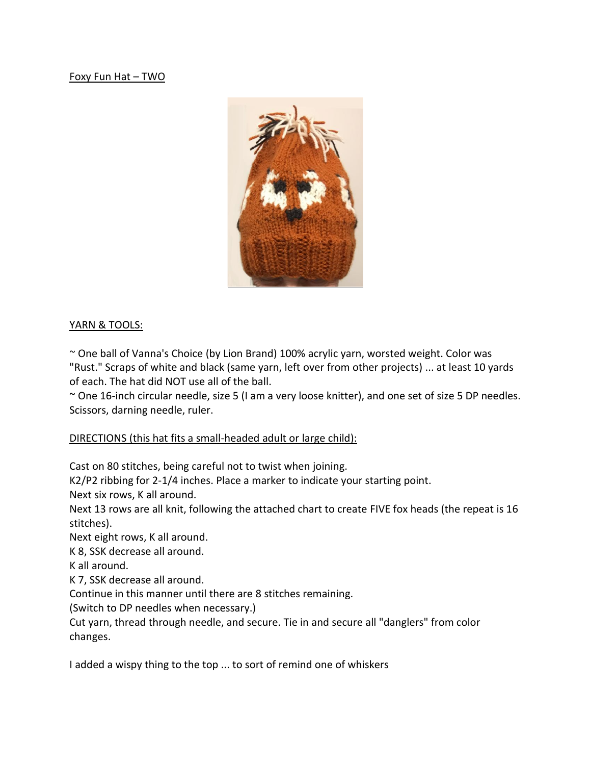Foxy Fun Hat – TWO



# YARN & TOOLS:

~ One ball of Vanna's Choice (by Lion Brand) 100% acrylic yarn, worsted weight. Color was "Rust." Scraps of white and black (same yarn, left over from other projects) ... at least 10 yards of each. The hat did NOT use all of the ball.

~ One 16-inch circular needle, size 5 (I am a very loose knitter), and one set of size 5 DP needles. Scissors, darning needle, ruler.

# DIRECTIONS (this hat fits a small-headed adult or large child):

Cast on 80 stitches, being careful not to twist when joining.

K2/P2 ribbing for 2-1/4 inches. Place a marker to indicate your starting point.

Next six rows, K all around.

Next 13 rows are all knit, following the attached chart to create FIVE fox heads (the repeat is 16 stitches).

Next eight rows, K all around.

K 8, SSK decrease all around.

K all around.

K 7, SSK decrease all around.

Continue in this manner until there are 8 stitches remaining.

(Switch to DP needles when necessary.)

Cut yarn, thread through needle, and secure. Tie in and secure all "danglers" from color changes.

I added a wispy thing to the top ... to sort of remind one of whiskers